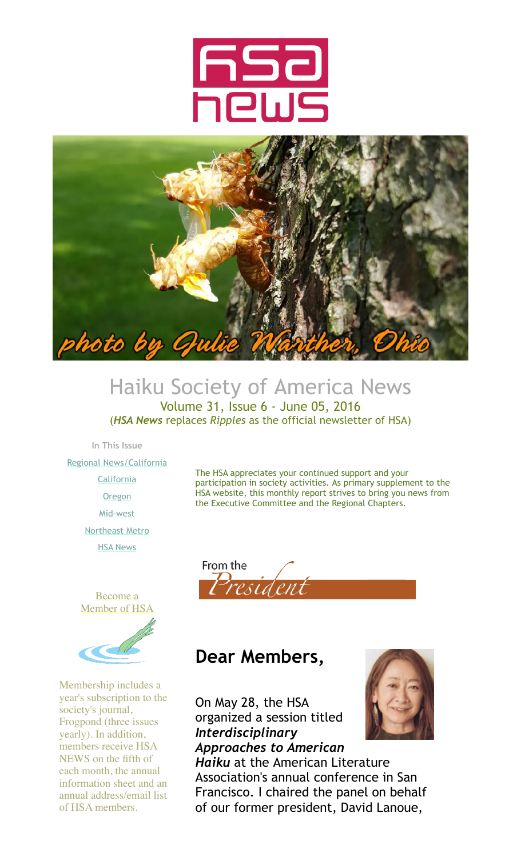



## Haiku Society of America News Volume 31, Issue 6 - June 05, 2016

(*HSA News* replaces *Ripples* as the official newsletter of HSA)

**In This Issue**

[Regional News/California](http://archive.constantcontact.com/fs123/1106162827962/archive/1123362373561.html#LETTER.BLOCK47)

- **[California](http://archive.constantcontact.com/fs123/1106162827962/archive/1123362373561.html#LETTER.BLOCK99)**
- **[Oregon](http://archive.constantcontact.com/fs123/1106162827962/archive/1123362373561.html#LETTER.BLOCK101)**

[Mid-west](http://archive.constantcontact.com/fs123/1106162827962/archive/1123362373561.html#LETTER.BLOCK56) [Northeast Metro](http://archive.constantcontact.com/fs123/1106162827962/archive/1123362373561.html#LETTER.BLOCK40)

[HSA News](http://archive.constantcontact.com/fs123/1106162827962/archive/1123362373561.html#LETTER.BLOCK91)

[Become a](http://www.hsa-haiku.org/join.htm) [Member of HSA](http://www.hsa-haiku.org/join.htm)

Membership includes a year's subscription to the society's journal, Frogpond (three issues yearly). In addition, members receive HSA NEWS on the fifth of each month, the annual information sheet and an annual address/email list of HSA members.



The HSA appreciates your continued support and your

the Executive Committee and the Regional Chapters.

participation in society activities. As primary supplement to the HSA website, this monthly report strives to bring you news from

## **Dear Members,**

On May 28, the HSA organized a session titled *Interdisciplinary Approaches to American*



*Haiku* at the American Literature Association's annual conference in San Francisco. I chaired the panel on behalf of our former president, David Lanoue,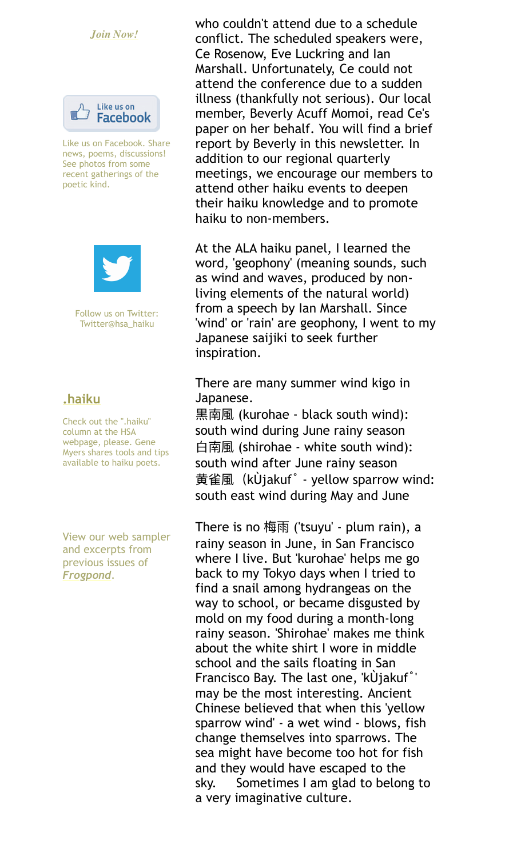#### *[Join Now!](http://www.hsa-haiku.org/join.htm)*



Like us on Facebook. Share news, poems, discussions! See photos from some recent gatherings of the poetic kind.



Follow us on Twitter: Twitter@hsa\_haiku

#### **[.haiku](http://www.hsa-haiku.org/haiku-column.htm)**

Check out the ".haiku" column at the HSA webpage, please. Gene Myers shares tools and tips available to haiku poets.

View our web sampler and excerpts from previous issues of *[Frogpond](http://www.hsa-haiku.org/frogpond/previousissues.html)*.

who couldn't attend due to a schedule conflict. The scheduled speakers were, Ce Rosenow, Eve Luckring and Ian Marshall. Unfortunately, Ce could not attend the conference due to a sudden illness (thankfully not serious). Our local member, Beverly Acuff Momoi, read Ce's paper on her behalf. You will find a brief report by Beverly in this newsletter. In addition to our regional quarterly meetings, we encourage our members to attend other haiku events to deepen their haiku knowledge and to promote haiku to non-members.

At the ALA haiku panel, I learned the word, 'geophony' (meaning sounds, such as wind and waves, produced by nonliving elements of the natural world) from a speech by Ian Marshall. Since 'wind' or 'rain' are geophony, I went to my Japanese saijiki to seek further inspiration.

There are many summer wind kigo in Japanese.

焠ܖ氱 (kurohae - black south wind): south wind during June rainy season ጮܖ氱 (shirohae - white south wind): south wind after June rainy season Ἆᵚ氱ҁkÙjakuf˚ - yellow sparrow wind: south east wind during May and June

There is no 梅雨 ('tsuyu' - plum rain), a rainy season in June, in San Francisco where I live. But 'kurohae' helps me go back to my Tokyo days when I tried to find a snail among hydrangeas on the way to school, or became disgusted by mold on my food during a month-long rainy season. 'Shirohae' makes me think about the white shirt I wore in middle school and the sails floating in San Francisco Bay. The last one, 'kÙjakuf˚' may be the most interesting. Ancient Chinese believed that when this 'yellow sparrow wind' - a wet wind - blows, fish change themselves into sparrows. The sea might have become too hot for fish and they would have escaped to the sky. Sometimes I am glad to belong to a very imaginative culture.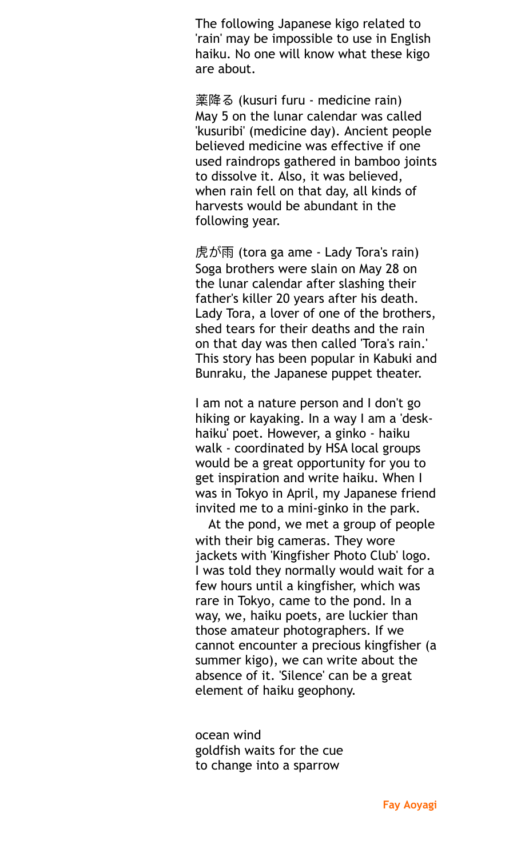The following Japanese kigo related to 'rain' may be impossible to use in English haiku. No one will know what these kigo are about.

**薬降る (kusuri furu - medicine rain)** May 5 on the lunar calendar was called 'kusuribi' (medicine day). Ancient people believed medicine was effective if one used raindrops gathered in bamboo joints to dissolve it. Also, it was believed, when rain fell on that day, all kinds of harvests would be abundant in the following year.

虎が雨 (tora ga ame - Lady Tora's rain) Soga brothers were slain on May 28 on the lunar calendar after slashing their father's killer 20 years after his death. Lady Tora, a lover of one of the brothers, shed tears for their deaths and the rain on that day was then called 'Tora's rain.' This story has been popular in Kabuki and Bunraku, the Japanese puppet theater.

I am not a nature person and I don't go hiking or kayaking. In a way I am a 'deskhaiku' poet. However, a ginko - haiku walk - coordinated by HSA local groups would be a great opportunity for you to get inspiration and write haiku. When I was in Tokyo in April, my Japanese friend invited me to a mini-ginko in the park.

At the pond, we met a group of people with their big cameras. They wore jackets with 'Kingfisher Photo Club' logo. I was told they normally would wait for a few hours until a kingfisher, which was rare in Tokyo, came to the pond. In a way, we, haiku poets, are luckier than those amateur photographers. If we cannot encounter a precious kingfisher (a summer kigo), we can write about the absence of it. 'Silence' can be a great element of haiku geophony.

ocean wind goldfish waits for the cue to change into a sparrow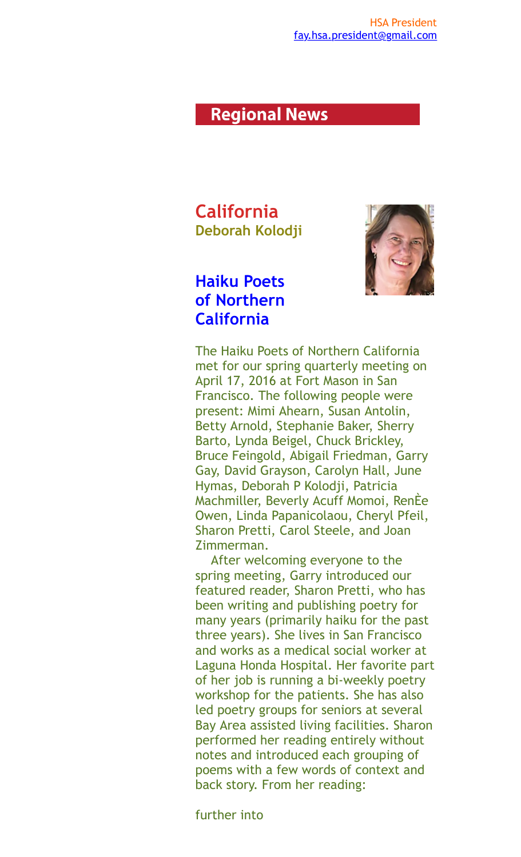### **Regional News**

**California Deborah Kolodji** 



### **Haiku Poets of Northern California**

The Haiku Poets of Northern California met for our spring quarterly meeting on April 17, 2016 at Fort Mason in San Francisco. The following people were present: Mimi Ahearn, Susan Antolin, Betty Arnold, Stephanie Baker, Sherry Barto, Lynda Beigel, Chuck Brickley, Bruce Feingold, Abigail Friedman, Garry Gay, David Grayson, Carolyn Hall, June Hymas, Deborah P Kolodji, Patricia Machmiller, Beverly Acuff Momoi, RenÈe Owen, Linda Papanicolaou, Cheryl Pfeil, Sharon Pretti, Carol Steele, and Joan Zimmerman.

 After welcoming everyone to the spring meeting, Garry introduced our featured reader, Sharon Pretti, who has been writing and publishing poetry for many years (primarily haiku for the past three years). She lives in San Francisco and works as a medical social worker at Laguna Honda Hospital. Her favorite part of her job is running a bi-weekly poetry workshop for the patients. She has also led poetry groups for seniors at several Bay Area assisted living facilities. Sharon performed her reading entirely without notes and introduced each grouping of poems with a few words of context and back story. From her reading:

further into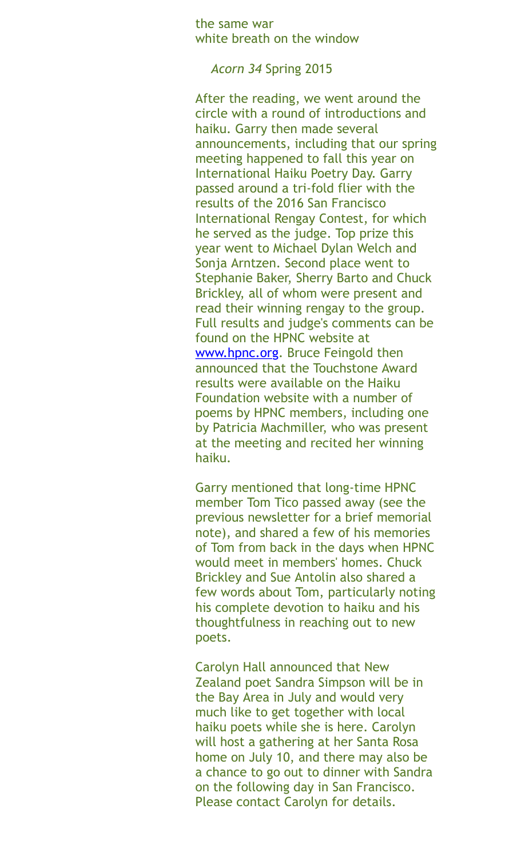the same war white breath on the window

*Acorn 34* Spring 2015

After the reading, we went around the circle with a round of introductions and haiku. Garry then made several announcements, including that our spring meeting happened to fall this year on International Haiku Poetry Day. Garry passed around a tri-fold flier with the results of the 2016 San Francisco International Rengay Contest, for which he served as the judge. Top prize this year went to Michael Dylan Welch and Sonja Arntzen. Second place went to Stephanie Baker, Sherry Barto and Chuck Brickley, all of whom were present and read their winning rengay to the group. Full results and judge's comments can be found on the HPNC website at [www.hpnc.org.](http://www.hpnc.org/) Bruce Feingold then announced that the Touchstone Award results were available on the Haiku Foundation website with a number of poems by HPNC members, including one by Patricia Machmiller, who was present at the meeting and recited her winning haiku.

Garry mentioned that long-time HPNC member Tom Tico passed away (see the previous newsletter for a brief memorial note), and shared a few of his memories of Tom from back in the days when HPNC would meet in members' homes. Chuck Brickley and Sue Antolin also shared a few words about Tom, particularly noting his complete devotion to haiku and his thoughtfulness in reaching out to new poets.

Carolyn Hall announced that New Zealand poet Sandra Simpson will be in the Bay Area in July and would very much like to get together with local haiku poets while she is here. Carolyn will host a gathering at her Santa Rosa home on July 10, and there may also be a chance to go out to dinner with Sandra on the following day in San Francisco. Please contact Carolyn for details.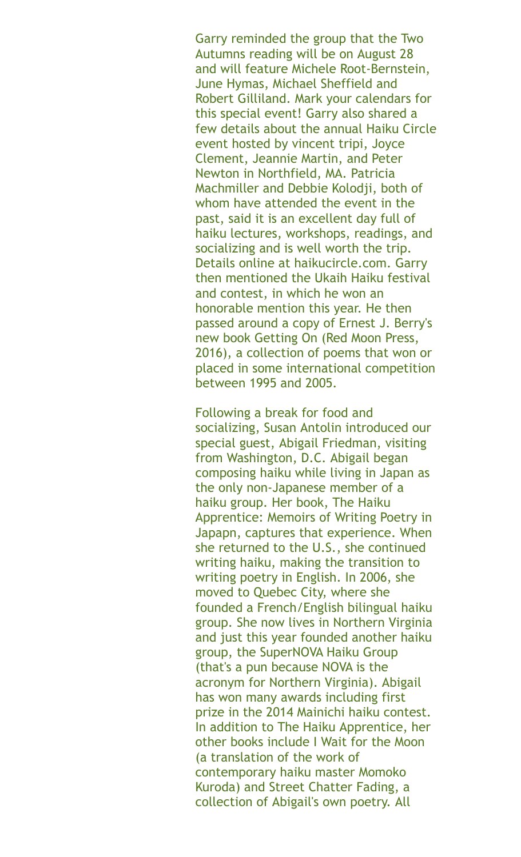Garry reminded the group that the Two Autumns reading will be on August 28 and will feature Michele Root-Bernstein, June Hymas, Michael Sheffield and Robert Gilliland. Mark your calendars for this special event! Garry also shared a few details about the annual Haiku Circle event hosted by vincent tripi, Joyce Clement, Jeannie Martin, and Peter Newton in Northfield, MA. Patricia Machmiller and Debbie Kolodji, both of whom have attended the event in the past, said it is an excellent day full of haiku lectures, workshops, readings, and socializing and is well worth the trip. Details online at haikucircle.com. Garry then mentioned the Ukaih Haiku festival and contest, in which he won an honorable mention this year. He then passed around a copy of Ernest J. Berry's new book Getting On (Red Moon Press, 2016), a collection of poems that won or placed in some international competition between 1995 and 2005.

Following a break for food and socializing, Susan Antolin introduced our special guest, Abigail Friedman, visiting from Washington, D.C. Abigail began composing haiku while living in Japan as the only non-Japanese member of a haiku group. Her book, The Haiku Apprentice: Memoirs of Writing Poetry in Japapn, captures that experience. When she returned to the U.S., she continued writing haiku, making the transition to writing poetry in English. In 2006, she moved to Quebec City, where she founded a French/English bilingual haiku group. She now lives in Northern Virginia and just this year founded another haiku group, the SuperNOVA Haiku Group (that's a pun because NOVA is the acronym for Northern Virginia). Abigail has won many awards including first prize in the 2014 Mainichi haiku contest. In addition to The Haiku Apprentice, her other books include I Wait for the Moon (a translation of the work of contemporary haiku master Momoko Kuroda) and Street Chatter Fading, a collection of Abigail's own poetry. All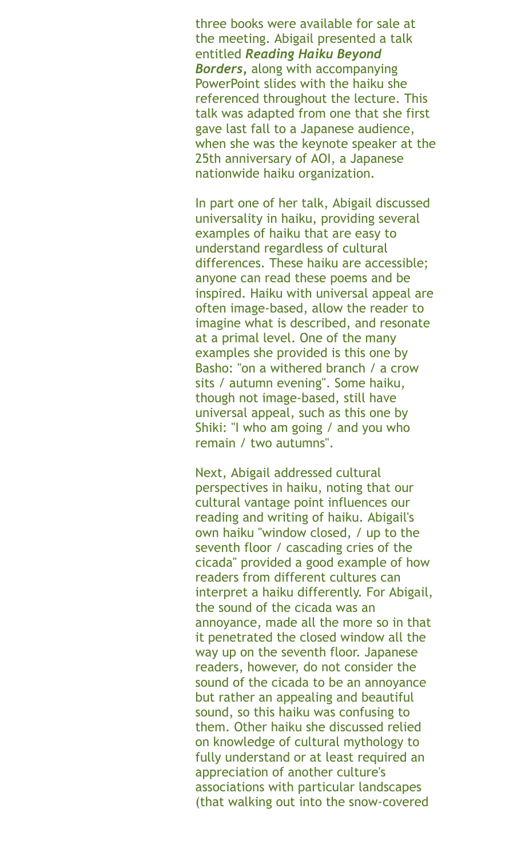three books were available for sale at the meeting. Abigail presented a talk entitled *Reading Haiku Beyond Borders,* along with accompanying PowerPoint slides with the haiku she referenced throughout the lecture. This talk was adapted from one that she first gave last fall to a Japanese audience, when she was the keynote speaker at the 25th anniversary of AOI, a Japanese nationwide haiku organization.

In part one of her talk, Abigail discussed universality in haiku, providing several examples of haiku that are easy to understand regardless of cultural differences. These haiku are accessible; anyone can read these poems and be inspired. Haiku with universal appeal are often image-based, allow the reader to imagine what is described, and resonate at a primal level. One of the many examples she provided is this one by Basho: "on a withered branch / a crow sits / autumn evening". Some haiku, though not image-based, still have universal appeal, such as this one by Shiki: "I who am going / and you who remain / two autumns".

Next, Abigail addressed cultural perspectives in haiku, noting that our cultural vantage point influences our reading and writing of haiku. Abigail's own haiku "window closed, / up to the seventh floor / cascading cries of the cicada" provided a good example of how readers from different cultures can interpret a haiku differently. For Abigail, the sound of the cicada was an annoyance, made all the more so in that it penetrated the closed window all the way up on the seventh floor. Japanese readers, however, do not consider the sound of the cicada to be an annoyance but rather an appealing and beautiful sound, so this haiku was confusing to them. Other haiku she discussed relied on knowledge of cultural mythology to fully understand or at least required an appreciation of another culture's associations with particular landscapes (that walking out into the snow-covered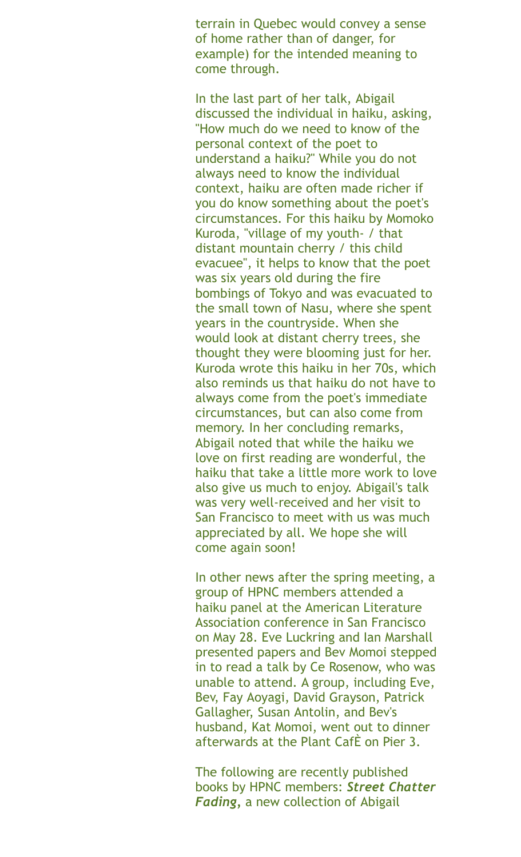terrain in Quebec would convey a sense of home rather than of danger, for example) for the intended meaning to come through.

In the last part of her talk, Abigail discussed the individual in haiku, asking, "How much do we need to know of the personal context of the poet to understand a haiku?" While you do not always need to know the individual context, haiku are often made richer if you do know something about the poet's circumstances. For this haiku by Momoko Kuroda, "village of my youth- / that distant mountain cherry / this child evacuee", it helps to know that the poet was six years old during the fire bombings of Tokyo and was evacuated to the small town of Nasu, where she spent years in the countryside. When she would look at distant cherry trees, she thought they were blooming just for her. Kuroda wrote this haiku in her 70s, which also reminds us that haiku do not have to always come from the poet's immediate circumstances, but can also come from memory. In her concluding remarks, Abigail noted that while the haiku we love on first reading are wonderful, the haiku that take a little more work to love also give us much to enjoy. Abigail's talk was very well-received and her visit to San Francisco to meet with us was much appreciated by all. We hope she will come again soon!

In other news after the spring meeting, a group of HPNC members attended a haiku panel at the American Literature Association conference in San Francisco on May 28. Eve Luckring and Ian Marshall presented papers and Bev Momoi stepped in to read a talk by Ce Rosenow, who was unable to attend. A group, including Eve, Bev, Fay Aoyagi, David Grayson, Patrick Gallagher, Susan Antolin, and Bev's husband, Kat Momoi, went out to dinner afterwards at the Plant CafÈ on Pier 3.

The following are recently published books by HPNC members: *Street Chatter Fading,* a new collection of Abigail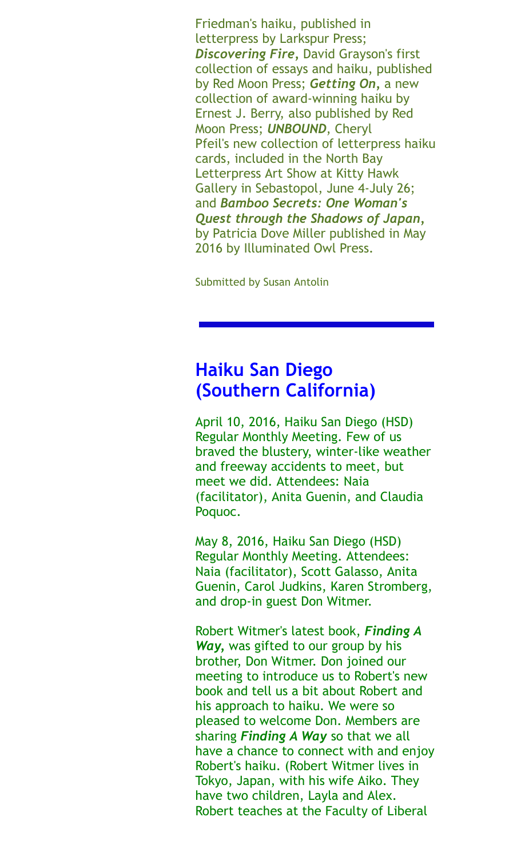Friedman's haiku, published in letterpress by Larkspur Press; *Discovering Fire,* David Grayson's first collection of essays and haiku, published by Red Moon Press; *Getting On,* a new collection of award-winning haiku by Ernest J. Berry, also published by Red Moon Press; *UNBOUND*, Cheryl Pfeil's new collection of letterpress haiku cards, included in the North Bay Letterpress Art Show at Kitty Hawk Gallery in Sebastopol, June 4-July 26; and *Bamboo Secrets: One Woman's Quest through the Shadows of Japan,* by Patricia Dove Miller published in May 2016 by Illuminated Owl Press.

Submitted by Susan Antolin

## **Haiku San Diego (Southern California)**

April 10, 2016, Haiku San Diego (HSD) Regular Monthly Meeting. Few of us braved the blustery, winter-like weather and freeway accidents to meet, but meet we did. Attendees: Naia (facilitator), Anita Guenin, and Claudia Poquoc.

May 8, 2016, Haiku San Diego (HSD) Regular Monthly Meeting. Attendees: Naia (facilitator), Scott Galasso, Anita Guenin, Carol Judkins, Karen Stromberg, and drop-in guest Don Witmer.

Robert Witmer's latest book, *Finding A Way,* was gifted to our group by his brother, Don Witmer. Don joined our meeting to introduce us to Robert's new book and tell us a bit about Robert and his approach to haiku. We were so pleased to welcome Don. Members are sharing *Finding A Way* so that we all have a chance to connect with and enjoy Robert's haiku. (Robert Witmer lives in Tokyo, Japan, with his wife Aiko. They have two children, Layla and Alex. Robert teaches at the Faculty of Liberal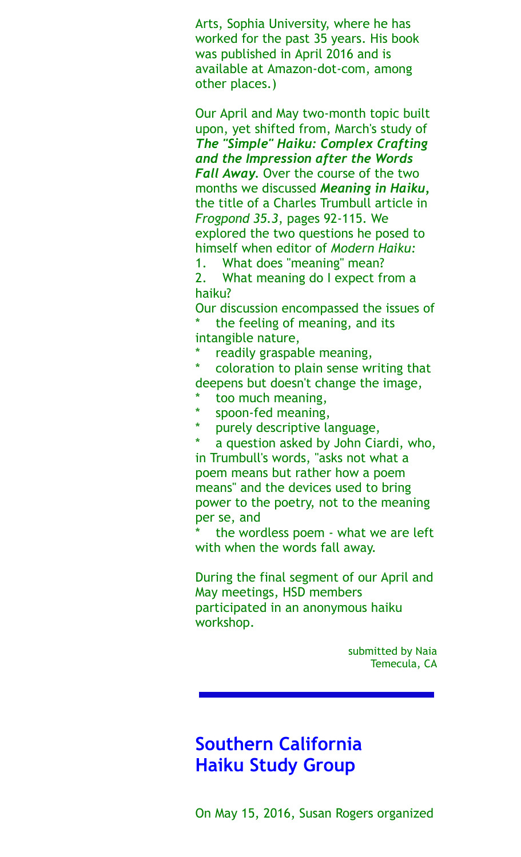Arts, Sophia University, where he has worked for the past 35 years. His book was published in April 2016 and is available at Amazon-dot-com, among other places.)

Our April and May two-month topic built upon, yet shifted from, March's study of *The "Simple" Haiku: Complex Crafting and the Impression after the Words Fall Away.* Over the course of the two months we discussed *Meaning in Haiku,* the title of a Charles Trumbull article in *Frogpond 35.3*, pages 92-115. We explored the two questions he posed to himself when editor of *Modern Haiku:*  1. What does "meaning" mean?

2. What meaning do I expect from a haiku?

Our discussion encompassed the issues of the feeling of meaning, and its intangible nature,

readily graspable meaning,

coloration to plain sense writing that deepens but doesn't change the image,

- too much meaning,
- \* spoon-fed meaning,
- purely descriptive language,

a question asked by John Ciardi, who,

in Trumbull's words, "asks not what a poem means but rather how a poem means" and the devices used to bring power to the poetry, not to the meaning per se, and

the wordless poem - what we are left with when the words fall away.

During the final segment of our April and May meetings, HSD members participated in an anonymous haiku workshop.

> submitted by Naia Temecula, CA

# **Southern California Haiku Study Group**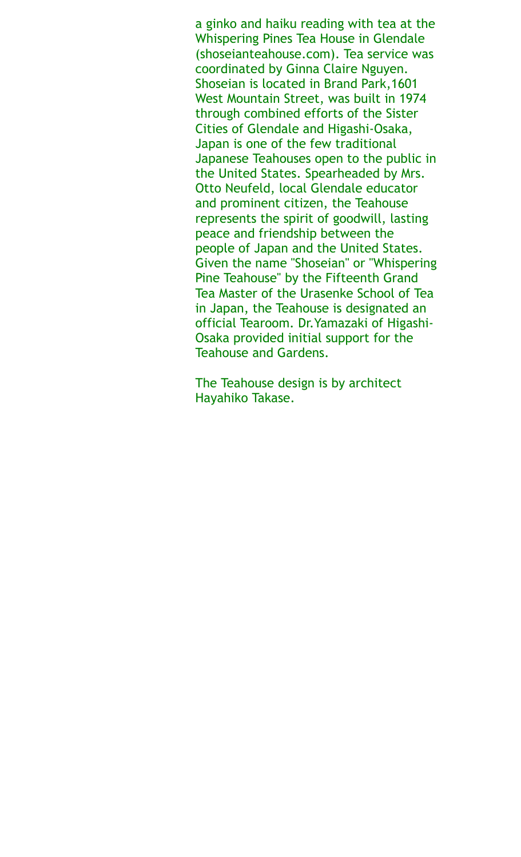a ginko and haiku reading with tea at the Whispering Pines Tea House in Glendale (shoseianteahouse.com). Tea service was coordinated by Ginna Claire Nguyen. Shoseian is located in Brand Park,1601 West Mountain Street, was built in 1974 through combined efforts of the Sister Cities of Glendale and Higashi-Osaka, Japan is one of the few traditional Japanese Teahouses open to the public in the United States. Spearheaded by Mrs. Otto Neufeld, local Glendale educator and prominent citizen, the Teahouse represents the spirit of goodwill, lasting peace and friendship between the people of Japan and the United States. Given the name "Shoseian" or "Whispering Pine Teahouse" by the Fifteenth Grand Tea Master of the Urasenke School of Tea in Japan, the Teahouse is designated an official Tearoom. Dr.Yamazaki of Higashi-Osaka provided initial support for the Teahouse and Gardens.

The Teahouse design is by architect Hayahiko Takase.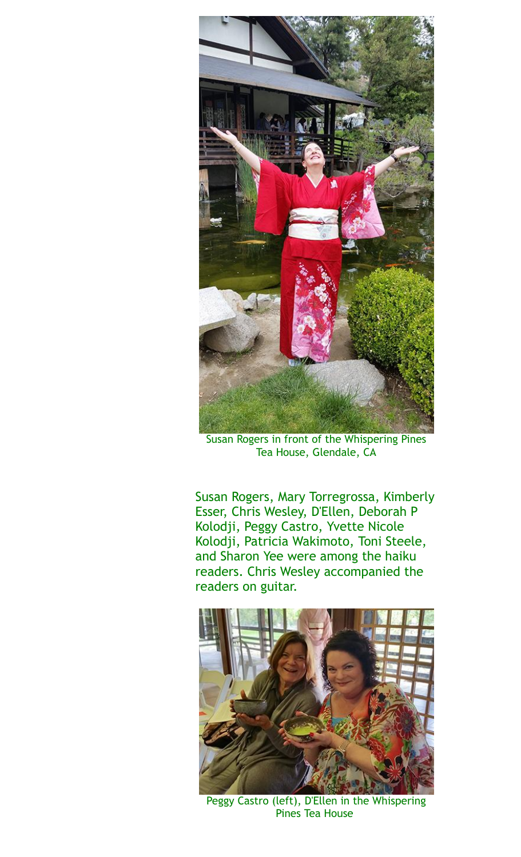

Susan Rogers in front of the Whispering Pines Tea House, Glendale, CA

Susan Rogers, Mary Torregrossa, Kimberly Esser, Chris Wesley, D'Ellen, Deborah P Kolodji, Peggy Castro, Yvette Nicole Kolodji, Patricia Wakimoto, Toni Steele, and Sharon Yee were among the haiku readers. Chris Wesley accompanied the readers on guitar.



Peggy Castro (left), D'Ellen in the Whispering Pines Tea House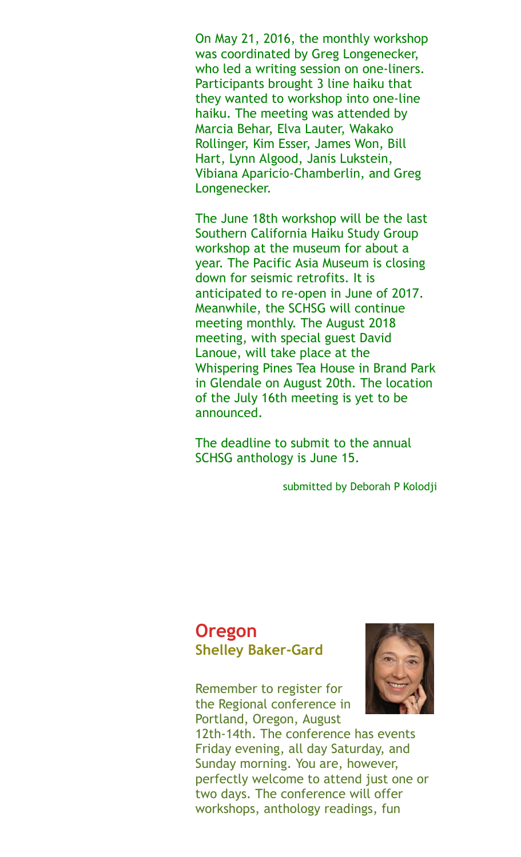On May 21, 2016, the monthly workshop was coordinated by Greg Longenecker, who led a writing session on one-liners. Participants brought 3 line haiku that they wanted to workshop into one-line haiku. The meeting was attended by Marcia Behar, Elva Lauter, Wakako Rollinger, Kim Esser, James Won, Bill Hart, Lynn Algood, Janis Lukstein, Vibiana Aparicio-Chamberlin, and Greg Longenecker.

The June 18th workshop will be the last Southern California Haiku Study Group workshop at the museum for about a year. The Pacific Asia Museum is closing down for seismic retrofits. It is anticipated to re-open in June of 2017. Meanwhile, the SCHSG will continue meeting monthly. The August 2018 meeting, with special guest David Lanoue, will take place at the Whispering Pines Tea House in Brand Park in Glendale on August 20th. The location of the July 16th meeting is yet to be announced.

The deadline to submit to the annual SCHSG anthology is June 15.

submitted by Deborah P Kolodji

### **Oregon Shelley Baker-Gard**

Remember to register for the Regional conference in Portland, Oregon, August



12th-14th. The conference has events Friday evening, all day Saturday, and Sunday morning. You are, however, perfectly welcome to attend just one or two days. The conference will offer workshops, anthology readings, fun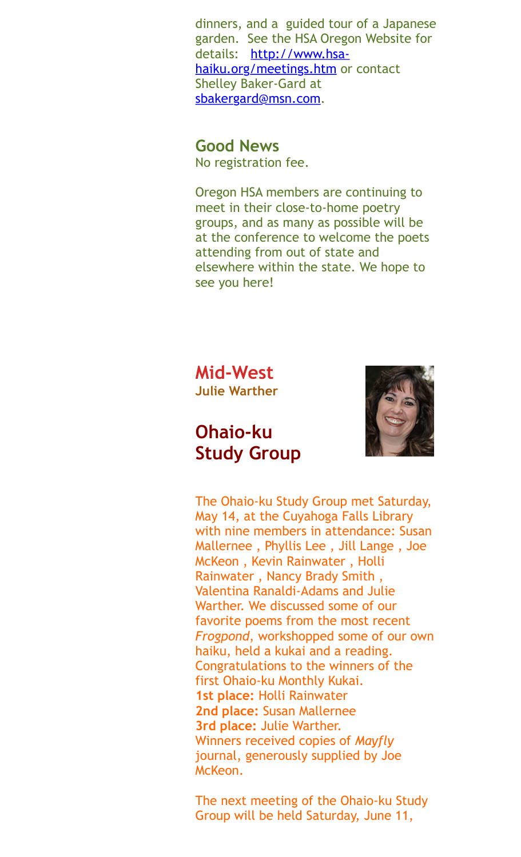dinners, and a guided tour of a Japanese garden. See the HSA Oregon Website for [details: http://www.hsa](http://www.hsa-haiku.org/meetings.htmundefined)haiku.org/meetings.htm or contact Shelley Baker-Gard at [sbakergard@msn.com](mailto:sbakergard@msn.com).

### **Good News**

No registration fee.

Oregon HSA members are continuing to meet in their close-to-home poetry groups, and as many as possible will be at the conference to welcome the poets attending from out of state and elsewhere within the state. We hope to see you here!

**Mid-West Julie Warther** 

## **Ohaio-ku Study Group**



The Ohaio-ku Study Group met Saturday, May 14, at the Cuyahoga Falls Library with nine members in attendance: Susan Mallernee , Phyllis Lee , Jill Lange , Joe McKeon , Kevin Rainwater , Holli Rainwater , Nancy Brady Smith , Valentina Ranaldi-Adams and Julie Warther. We discussed some of our favorite poems from the most recent *Frogpond*, workshopped some of our own haiku, held a kukai and a reading. Congratulations to the winners of the first Ohaio-ku Monthly Kukai. **1st place:** Holli Rainwater **2nd place:** Susan Mallernee **3rd place:** Julie Warther. Winners received copies of *Mayfly* journal, generously supplied by Joe McKeon.

The next meeting of the Ohaio-ku Study Group will be held Saturday, June 11,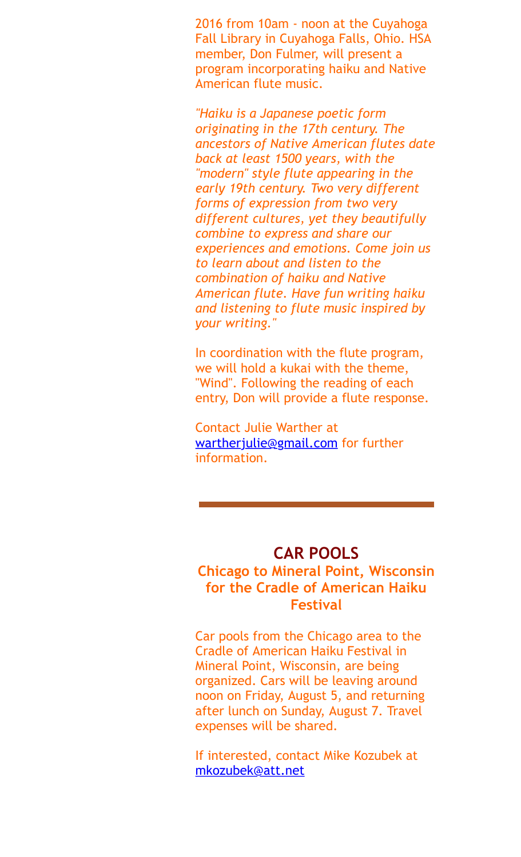2016 from 10am - noon at the Cuyahoga Fall Library in Cuyahoga Falls, Ohio. HSA member, Don Fulmer, will present a program incorporating haiku and Native American flute music.

*"Haiku is a Japanese poetic form originating in the 17th century. The ancestors of Native American flutes date back at least 1500 years, with the "modern" style flute appearing in the early 19th century. Two very different forms of expression from two very different cultures, yet they beautifully combine to express and share our experiences and emotions. Come join us to learn about and listen to the combination of haiku and Native American flute. Have fun writing haiku and listening to flute music inspired by your writing."*

In coordination with the flute program, we will hold a kukai with the theme, "Wind". Following the reading of each entry, Don will provide a flute response.

Contact Julie Warther at [wartherjulie@gmail.com](mailto:wartherjulie@gmail.com) for further information.

#### **CAR POOLS**

### **Chicago to Mineral Point, Wisconsin for the Cradle of American Haiku Festival**

Car pools from the Chicago area to the Cradle of American Haiku Festival in Mineral Point, Wisconsin, are being organized. Cars will be leaving around noon on Friday, August 5, and returning after lunch on Sunday, August 7. Travel expenses will be shared.

If interested, contact Mike Kozubek at [mkozubek@att.net](mailto:mkozubek@att.net)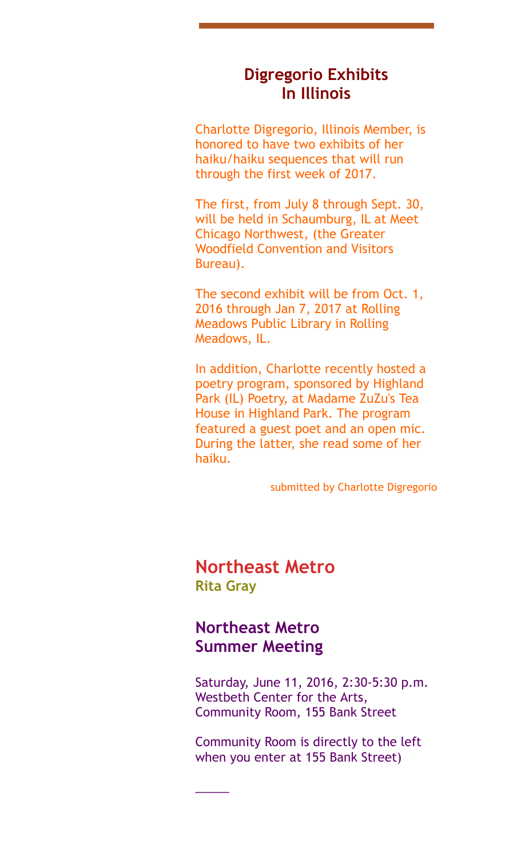### **Digregorio Exhibits In Illinois**

Charlotte Digregorio, Illinois Member, is honored to have two exhibits of her haiku/haiku sequences that will run through the first week of 2017.

The first, from July 8 through Sept. 30, will be held in Schaumburg, IL at Meet Chicago Northwest, (the Greater Woodfield Convention and Visitors Bureau).

The second exhibit will be from Oct. 1, 2016 through Jan 7, 2017 at Rolling Meadows Public Library in Rolling Meadows, IL.

In addition, Charlotte recently hosted a poetry program, sponsored by Highland Park (IL) Poetry, at Madame ZuZu's Tea House in Highland Park. The program featured a guest poet and an open mic. During the latter, she read some of her haiku.

submitted by Charlotte Digregorio

**Northeast Metro Rita Gray** 

### **Northeast Metro Summer Meeting**

\_\_\_\_\_

Saturday, June 11, 2016, 2:30-5:30 p.m. Westbeth Center for the Arts, Community Room, 155 Bank Street

Community Room is directly to the left when you enter at 155 Bank Street)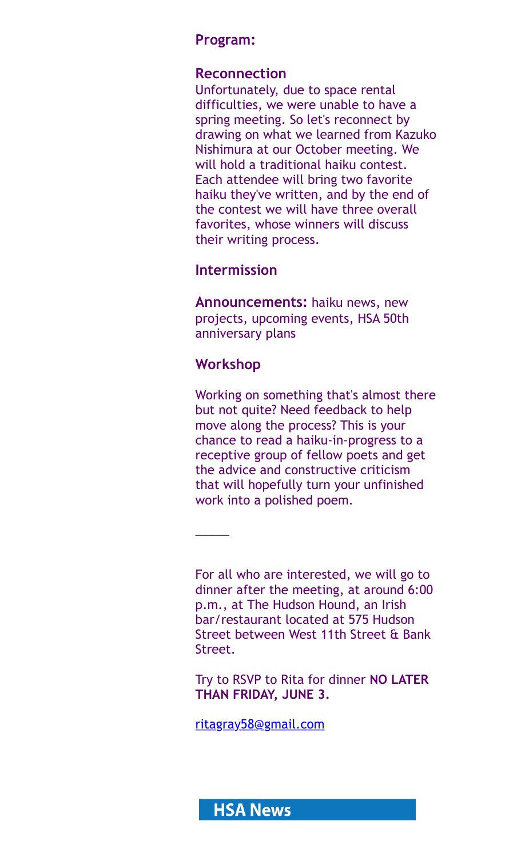### **Program:**

#### **Reconnection**

Unfortunately, due to space rental difficulties, we were unable to have a spring meeting. So let's reconnect by drawing on what we learned from Kazuko Nishimura at our October meeting. We will hold a traditional haiku contest. Each attendee will bring two favorite haiku they've written, and by the end of the contest we will have three overall favorites, whose winners will discuss their writing process.

#### **Intermission**

**Announcements:** haiku news, new projects, upcoming events, HSA 50th anniversary plans

### **Workshop**

 $\overline{\phantom{a}}$ 

Working on something that's almost there but not quite? Need feedback to help move along the process? This is your chance to read a haiku-in-progress to a receptive group of fellow poets and get the advice and constructive criticism that will hopefully turn your unfinished work into a polished poem.

For all who are interested, we will go to dinner after the meeting, at around 6:00 p.m., at The Hudson Hound, an Irish bar/restaurant located at 575 Hudson Street between West 11th Street & Bank Street.

Try to RSVP to Rita for dinner **NO LATER THAN FRIDAY, JUNE 3.**

[ritagray58@gmail.com](mailto:ritagray58@gmail.com)

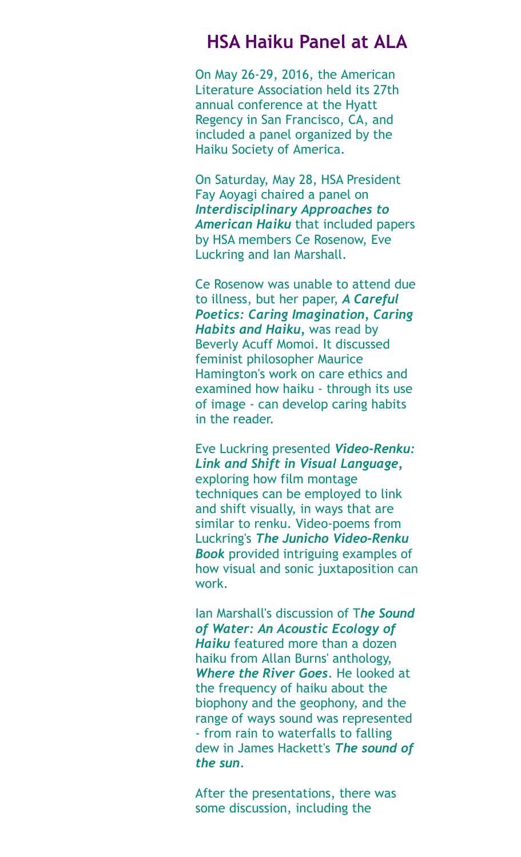## **HSA Haiku Panel at ALA**

On May 26-29, 2016, the American Literature Association held its 27th annual conference at the Hyatt Regency in San Francisco, CA, and included a panel organized by the Haiku Society of America.

On Saturday, May 28, HSA President Fay Aoyagi chaired a panel on *Interdisciplinary Approaches to American Haiku* that included papers by HSA members Ce Rosenow, Eve Luckring and Ian Marshall.

Ce Rosenow was unable to attend due to illness, but her paper, *A Careful Poetics: Caring Imagination, Caring Habits and Haiku,* was read by Beverly Acuff Momoi. It discussed feminist philosopher Maurice Hamington's work on care ethics and examined how haiku - through its use of image - can develop caring habits in the reader.

Eve Luckring presented *Video-Renku: Link and Shift in Visual Language,* exploring how film montage techniques can be employed to link and shift visually, in ways that are similar to renku. Video-poems from Luckring's *The Junicho Video-Renku Book* provided intriguing examples of how visual and sonic juxtaposition can work.

Ian Marshall's discussion of T*he Sound of Water: An Acoustic Ecology of Haiku* featured more than a dozen haiku from Allan Burns' anthology, *Where the River Goes*. He looked at the frequency of haiku about the biophony and the geophony, and the range of ways sound was represented - from rain to waterfalls to falling dew in James Hackett's *The sound of the sun.*

After the presentations, there was some discussion, including the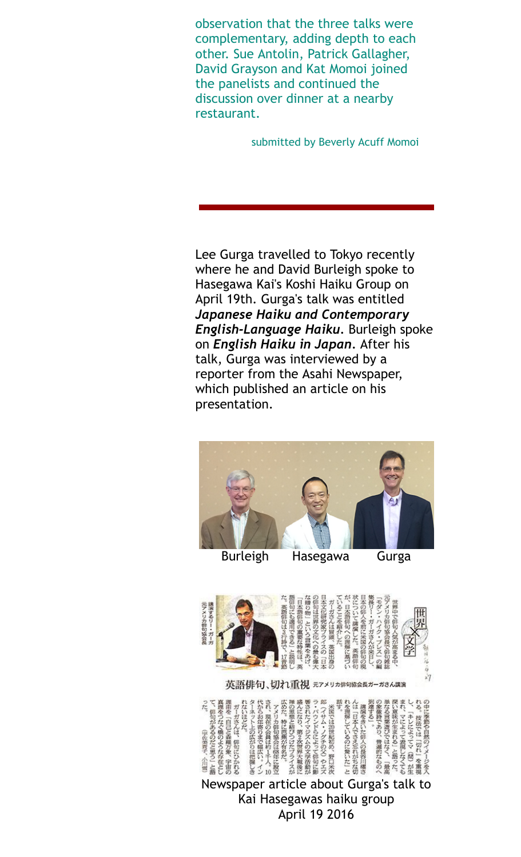observation that the three talks were complementary, adding depth to each other. Sue Antolin, Patrick Gallagher, David Grayson and Kat Momoi joined the panelists and continued the discussion over dinner at a nearby restaurant.

submitted by Beverly Acuff Momoi

Lee Gurga travelled to Tokyo recently where he and David Burleigh spoke to Hasegawa Kai's Koshi Haiku Group on April 19th. Gurga's talk was entitled *Japanese Haiku and Contemporary English-Language Haiku.* Burleigh spoke on *English Haiku in Japan.* After his talk, Gurga was interviewed by a reporter from the Asahi Newspaper, which published an article on his presentation.



Burleigh Hasegawa Gurga



英語俳句、切れ重視 元アメリカ俳句協会長ガーガさん講演



April 19 2016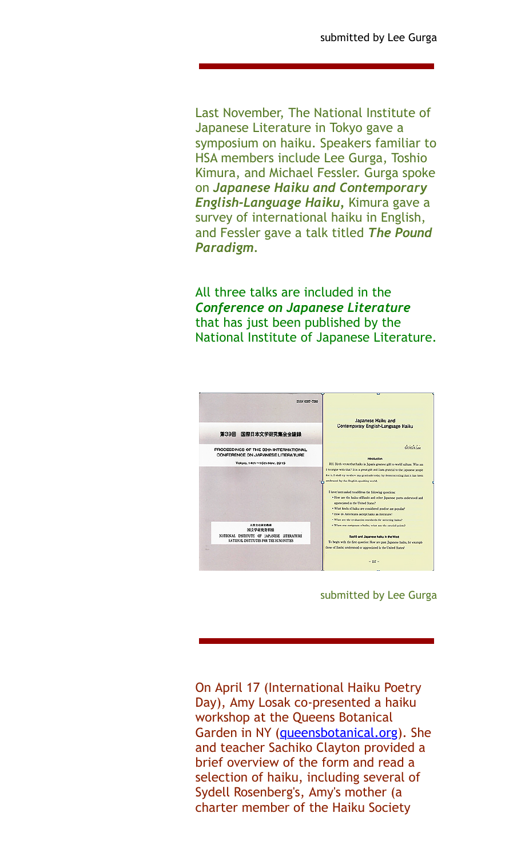Last November, The National Institute of Japanese Literature in Tokyo gave a symposium on haiku. Speakers familiar to HSA members include Lee Gurga, Toshio Kimura, and Michael Fessler. Gurga spoke on *Japanese Haiku and Contemporary English-Language Haiku,* Kimura gave a survey of international haiku in English, and Fessler gave a talk titled *The Pound Paradigm.*

All three talks are included in the *Conference on Japanese Literature* that has just been published by the National Institute of Japanese Literature.



submitted by Lee Gurga

On April 17 (International Haiku Poetry Day), Amy Losak co-presented a haiku workshop at the Queens Botanical Garden in NY ([queensbotanical.org\)](http://queensbotanical.org/). She and teacher Sachiko Clayton provided a brief overview of the form and read a selection of haiku, including several of Sydell Rosenberg's, Amy's mother (a charter member of the Haiku Society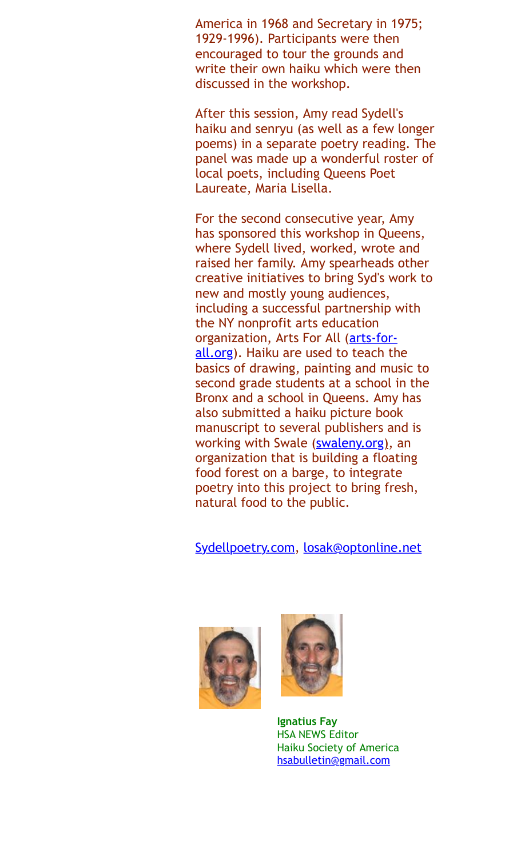America in 1968 and Secretary in 1975; 1929-1996). Participants were then encouraged to tour the grounds and write their own haiku which were then discussed in the workshop.

After this session, Amy read Sydell's haiku and senryu (as well as a few longer poems) in a separate poetry reading. The panel was made up a wonderful roster of local poets, including Queens Poet Laureate, Maria Lisella.

For the second consecutive year, Amy has sponsored this workshop in Queens, where Sydell lived, worked, wrote and raised her family. Amy spearheads other creative initiatives to bring Syd's work to new and mostly young audiences, including a successful partnership with the NY nonprofit arts education organization, Arts For All (arts-for[all.org\). Haiku are used to teach th](http://arts-for-all.org/)e basics of drawing, painting and music to second grade students at a school in the Bronx and a school in Queens. Amy has also submitted a haiku picture book manuscript to several publishers and is working with Swale [\(swaleny.org\)](http://swaleny.org)), an organization that is building a floating food forest on a barge, to integrate poetry into this project to bring fresh, natural food to the public.

[Sydellpoetry.com,](http://sydellpoetry.com/) [losak@optonline.net](mailto:losak@optonline.net)





**Ignatius Fay** HSA NEWS Editor Haiku Society of America [hsabulletin@gmail.com](mailto:hsabulletin@gmail.com)